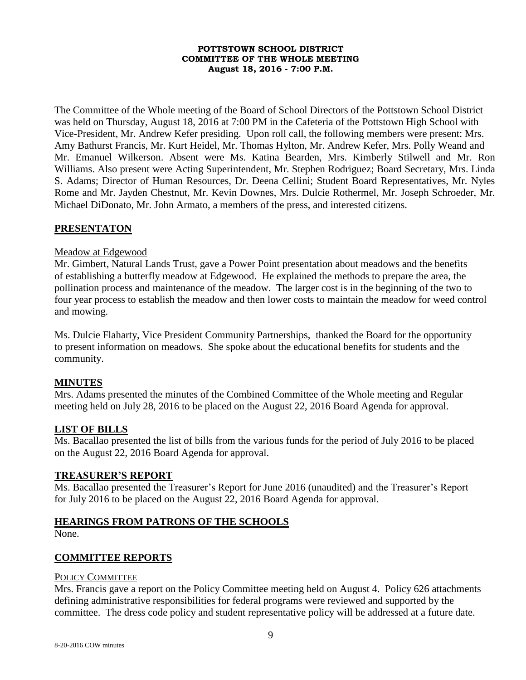#### **POTTSTOWN SCHOOL DISTRICT COMMITTEE OF THE WHOLE MEETING August 18, 2016 - 7:00 P.M.**

The Committee of the Whole meeting of the Board of School Directors of the Pottstown School District was held on Thursday, August 18, 2016 at 7:00 PM in the Cafeteria of the Pottstown High School with Vice-President, Mr. Andrew Kefer presiding. Upon roll call, the following members were present: Mrs. Amy Bathurst Francis, Mr. Kurt Heidel, Mr. Thomas Hylton, Mr. Andrew Kefer, Mrs. Polly Weand and Mr. Emanuel Wilkerson. Absent were Ms. Katina Bearden, Mrs. Kimberly Stilwell and Mr. Ron Williams. Also present were Acting Superintendent, Mr. Stephen Rodriguez; Board Secretary, Mrs. Linda S. Adams; Director of Human Resources, Dr. Deena Cellini; Student Board Representatives, Mr. Nyles Rome and Mr. Jayden Chestnut, Mr. Kevin Downes, Mrs. Dulcie Rothermel, Mr. Joseph Schroeder, Mr. Michael DiDonato, Mr. John Armato, a members of the press, and interested citizens.

## **PRESENTATON**

#### Meadow at Edgewood

Mr. Gimbert, Natural Lands Trust, gave a Power Point presentation about meadows and the benefits of establishing a butterfly meadow at Edgewood. He explained the methods to prepare the area, the pollination process and maintenance of the meadow. The larger cost is in the beginning of the two to four year process to establish the meadow and then lower costs to maintain the meadow for weed control and mowing.

Ms. Dulcie Flaharty, Vice President Community Partnerships, thanked the Board for the opportunity to present information on meadows. She spoke about the educational benefits for students and the community.

### **MINUTES**

Mrs. Adams presented the minutes of the Combined Committee of the Whole meeting and Regular meeting held on July 28, 2016 to be placed on the August 22, 2016 Board Agenda for approval.

### **LIST OF BILLS**

Ms. Bacallao presented the list of bills from the various funds for the period of July 2016 to be placed on the August 22, 2016 Board Agenda for approval.

### **TREASURER'S REPORT**

Ms. Bacallao presented the Treasurer's Report for June 2016 (unaudited) and the Treasurer's Report for July 2016 to be placed on the August 22, 2016 Board Agenda for approval.

### **HEARINGS FROM PATRONS OF THE SCHOOLS**

None.

### **COMMITTEE REPORTS**

#### POLICY COMMITTEE

Mrs. Francis gave a report on the Policy Committee meeting held on August 4. Policy 626 attachments defining administrative responsibilities for federal programs were reviewed and supported by the committee. The dress code policy and student representative policy will be addressed at a future date.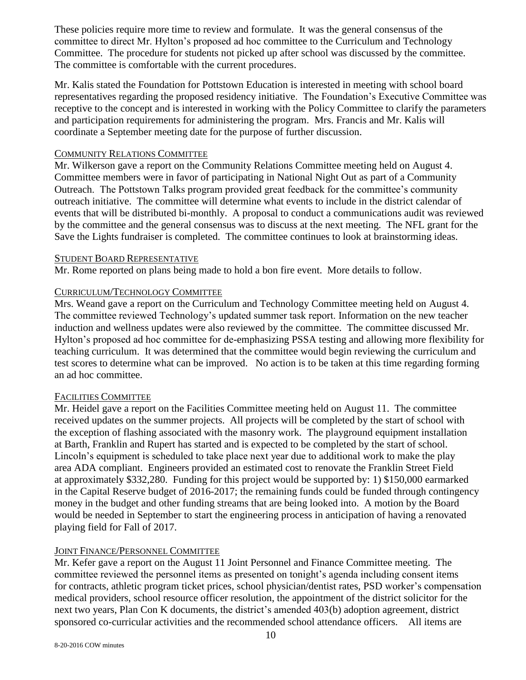These policies require more time to review and formulate. It was the general consensus of the committee to direct Mr. Hylton's proposed ad hoc committee to the Curriculum and Technology Committee. The procedure for students not picked up after school was discussed by the committee. The committee is comfortable with the current procedures.

Mr. Kalis stated the Foundation for Pottstown Education is interested in meeting with school board representatives regarding the proposed residency initiative. The Foundation's Executive Committee was receptive to the concept and is interested in working with the Policy Committee to clarify the parameters and participation requirements for administering the program. Mrs. Francis and Mr. Kalis will coordinate a September meeting date for the purpose of further discussion.

## COMMUNITY RELATIONS COMMITTEE

Mr. Wilkerson gave a report on the Community Relations Committee meeting held on August 4. Committee members were in favor of participating in National Night Out as part of a Community Outreach. The Pottstown Talks program provided great feedback for the committee's community outreach initiative. The committee will determine what events to include in the district calendar of events that will be distributed bi-monthly. A proposal to conduct a communications audit was reviewed by the committee and the general consensus was to discuss at the next meeting. The NFL grant for the Save the Lights fundraiser is completed. The committee continues to look at brainstorming ideas.

### STUDENT BOARD REPRESENTATIVE

Mr. Rome reported on plans being made to hold a bon fire event. More details to follow.

# CURRICULUM/TECHNOLOGY COMMITTEE

Mrs. Weand gave a report on the Curriculum and Technology Committee meeting held on August 4. The committee reviewed Technology's updated summer task report. Information on the new teacher induction and wellness updates were also reviewed by the committee. The committee discussed Mr. Hylton's proposed ad hoc committee for de-emphasizing PSSA testing and allowing more flexibility for teaching curriculum. It was determined that the committee would begin reviewing the curriculum and test scores to determine what can be improved. No action is to be taken at this time regarding forming an ad hoc committee.

# FACILITIES COMMITTEE

Mr. Heidel gave a report on the Facilities Committee meeting held on August 11. The committee received updates on the summer projects. All projects will be completed by the start of school with the exception of flashing associated with the masonry work. The playground equipment installation at Barth, Franklin and Rupert has started and is expected to be completed by the start of school. Lincoln's equipment is scheduled to take place next year due to additional work to make the play area ADA compliant. Engineers provided an estimated cost to renovate the Franklin Street Field at approximately \$332,280. Funding for this project would be supported by: 1) \$150,000 earmarked in the Capital Reserve budget of 2016-2017; the remaining funds could be funded through contingency money in the budget and other funding streams that are being looked into. A motion by the Board would be needed in September to start the engineering process in anticipation of having a renovated playing field for Fall of 2017.

# JOINT FINANCE/PERSONNEL COMMITTEE

Mr. Kefer gave a report on the August 11 Joint Personnel and Finance Committee meeting. The committee reviewed the personnel items as presented on tonight's agenda including consent items for contracts, athletic program ticket prices, school physician/dentist rates, PSD worker's compensation medical providers, school resource officer resolution, the appointment of the district solicitor for the next two years, Plan Con K documents, the district's amended 403(b) adoption agreement, district sponsored co-curricular activities and the recommended school attendance officers. All items are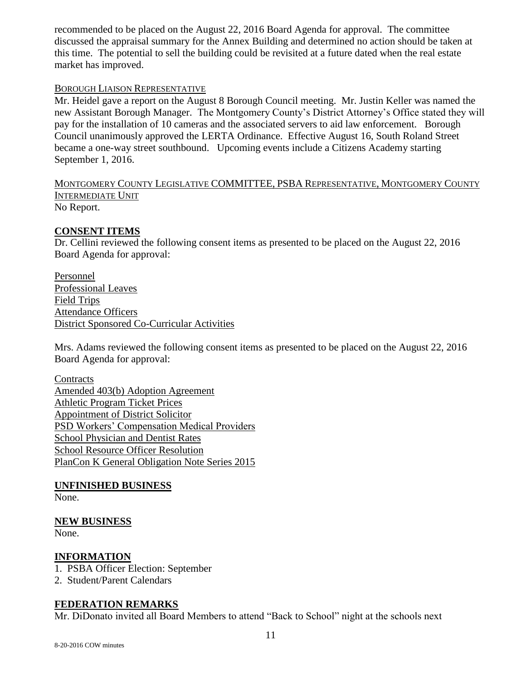recommended to be placed on the August 22, 2016 Board Agenda for approval. The committee discussed the appraisal summary for the Annex Building and determined no action should be taken at this time. The potential to sell the building could be revisited at a future dated when the real estate market has improved.

### BOROUGH LIAISON REPRESENTATIVE

Mr. Heidel gave a report on the August 8 Borough Council meeting. Mr. Justin Keller was named the new Assistant Borough Manager. The Montgomery County's District Attorney's Office stated they will pay for the installation of 10 cameras and the associated servers to aid law enforcement. Borough Council unanimously approved the LERTA Ordinance. Effective August 16, South Roland Street became a one-way street southbound. Upcoming events include a Citizens Academy starting September 1, 2016.

MONTGOMERY COUNTY LEGISLATIVE COMMITTEE, PSBA REPRESENTATIVE, MONTGOMERY COUNTY INTERMEDIATE UNIT No Report.

## **CONSENT ITEMS**

Dr. Cellini reviewed the following consent items as presented to be placed on the August 22, 2016 Board Agenda for approval:

Personnel Professional Leaves Field Trips Attendance Officers District Sponsored Co-Curricular Activities

Mrs. Adams reviewed the following consent items as presented to be placed on the August 22, 2016 Board Agenda for approval:

**Contracts** Amended 403(b) Adoption Agreement Athletic Program Ticket Prices Appointment of District Solicitor PSD Workers' Compensation Medical Providers School Physician and Dentist Rates School Resource Officer Resolution PlanCon K General Obligation Note Series 2015

**UNFINISHED BUSINESS** None.

### **NEW BUSINESS**

None.

### **INFORMATION**

- 1. PSBA Officer Election: September
- 2. Student/Parent Calendars

# **FEDERATION REMARKS**

Mr. DiDonato invited all Board Members to attend "Back to School" night at the schools next